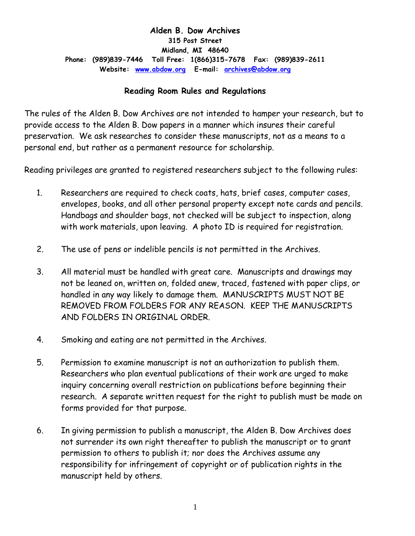### **Alden B. Dow Archives 315 Post Street Midland, MI 48640 Phone: (989)839-7446 Toll Free: 1(866)315-7678 Fax: (989)839-2611 Website: [www.abdow.org](http://www.abdow.org/) E-mail: [archives@abdow.org](mailto:archives@abdow.org)**

### **Reading Room Rules and Regulations**

The rules of the Alden B. Dow Archives are not intended to hamper your research, but to provide access to the Alden B. Dow papers in a manner which insures their careful preservation. We ask researches to consider these manuscripts, not as a means to a personal end, but rather as a permanent resource for scholarship.

Reading privileges are granted to registered researchers subject to the following rules:

- 1. Researchers are required to check coats, hats, brief cases, computer cases, envelopes, books, and all other personal property except note cards and pencils. Handbags and shoulder bags, not checked will be subject to inspection, along with work materials, upon leaving. A photo ID is required for registration.
- 2. The use of pens or indelible pencils is not permitted in the Archives.
- 3. All material must be handled with great care. Manuscripts and drawings may not be leaned on, written on, folded anew, traced, fastened with paper clips, or handled in any way likely to damage them. MANUSCRIPTS MUST NOT BE REMOVED FROM FOLDERS FOR ANY REASON. KEEP THE MANUSCRIPTS AND FOLDERS IN ORIGINAL ORDER.
- 4. Smoking and eating are not permitted in the Archives.
- 5. Permission to examine manuscript is not an authorization to publish them. Researchers who plan eventual publications of their work are urged to make inquiry concerning overall restriction on publications before beginning their research. A separate written request for the right to publish must be made on forms provided for that purpose.
- 6. In giving permission to publish a manuscript, the Alden B. Dow Archives does not surrender its own right thereafter to publish the manuscript or to grant permission to others to publish it; nor does the Archives assume any responsibility for infringement of copyright or of publication rights in the manuscript held by others.